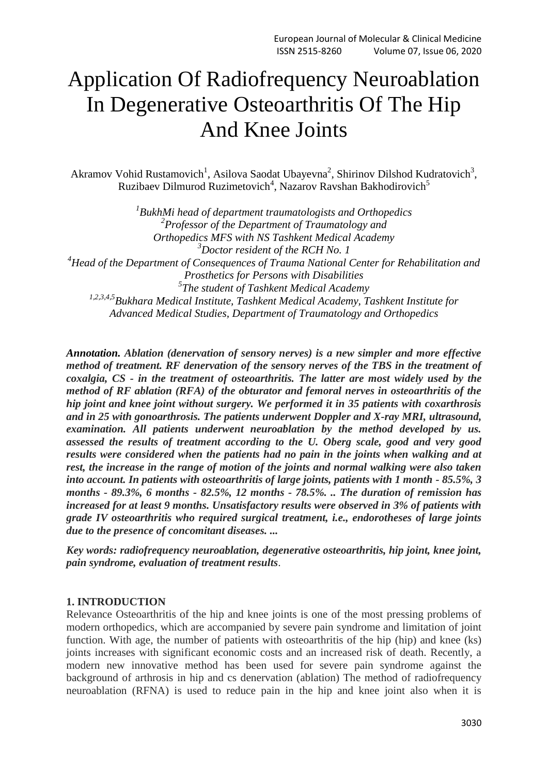# Application Of Radiofrequency Neuroablation In Degenerative Osteoarthritis Of The Hip And Knee Joints

Akramov Vohid Rustamovich<sup>1</sup>, Asilova Saodat Ubayevna<sup>2</sup>, Shirinov Dilshod Kudratovich<sup>3</sup>, Ruzibaev Dilmurod Ruzimetovich<sup>4</sup>, Nazarov Ravshan Bakhodirovich<sup>5</sup>

*1 BukhMi head of department traumatologists and Orthopedics 2 Professor of the Department of Traumatology and Orthopedics MFS with NS Tashkent Medical Academy <sup>3</sup>Doctor resident of the RCH No. 1 <sup>4</sup>Head of the Department of Consequences of Trauma National Center for Rehabilitation and Prosthetics for Persons with Disabilities 5 The student of Tashkent Medical Academy 1,2,3,4,5Bukhara Medical Institute, Tashkent Medical Academy, Tashkent Institute for Advanced Medical Studies, Department of Traumatology and Orthopedics*

*Annotation. Ablation (denervation of sensory nerves) is a new simpler and more effective method of treatment. RF denervation of the sensory nerves of the TBS in the treatment of coxalgia, CS - in the treatment of osteoarthritis. The latter are most widely used by the method of RF ablation (RFA) of the obturator and femoral nerves in osteoarthritis of the hip joint and knee joint without surgery. We performed it in 35 patients with coxarthrosis and in 25 with gonoarthrosis. The patients underwent Doppler and X-ray MRI, ultrasound, examination. All patients underwent neuroablation by the method developed by us. assessed the results of treatment according to the U. Oberg scale, good and very good results were considered when the patients had no pain in the joints when walking and at rest, the increase in the range of motion of the joints and normal walking were also taken into account. In patients with osteoarthritis of large joints, patients with 1 month - 85.5%, 3 months - 89.3%, 6 months - 82.5%, 12 months - 78.5%. .. The duration of remission has increased for at least 9 months. Unsatisfactory results were observed in 3% of patients with grade IV osteoarthritis who required surgical treatment, i.e., endorotheses of large joints due to the presence of concomitant diseases. ...*

*Key words: radiofrequency neuroablation, degenerative osteoarthritis, hip joint, knee joint, pain syndrome, evaluation of treatment results*.

# **1. INTRODUCTION**

Relevance Osteoarthritis of the hip and knee joints is one of the most pressing problems of modern orthopedics, which are accompanied by severe pain syndrome and limitation of joint function. With age, the number of patients with osteoarthritis of the hip (hip) and knee (ks) joints increases with significant economic costs and an increased risk of death. Recently, a modern new innovative method has been used for severe pain syndrome against the background of arthrosis in hip and cs denervation (ablation) The method of radiofrequency neuroablation (RFNA) is used to reduce pain in the hip and knee joint also when it is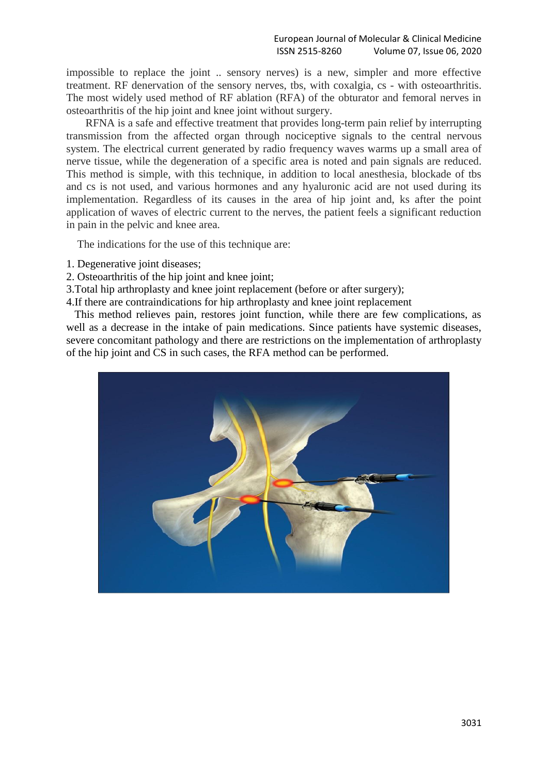impossible to replace the joint .. sensory nerves) is a new, simpler and more effective treatment. RF denervation of the sensory nerves, tbs, with coxalgia, cs - with osteoarthritis. The most widely used method of RF ablation (RFA) of the obturator and femoral nerves in osteoarthritis of the hip joint and knee joint without surgery.

RFNA is a safe and effective treatment that provides long-term pain relief by interrupting transmission from the affected organ through nociceptive signals to the central nervous system. The electrical current generated by radio frequency waves warms up a small area of nerve tissue, while the degeneration of a specific area is noted and pain signals are reduced. This method is simple, with this technique, in addition to local anesthesia, blockade of tbs and cs is not used, and various hormones and any hyaluronic acid are not used during its implementation. Regardless of its causes in the area of hip joint and, ks after the point application of waves of electric current to the nerves, the patient feels a significant reduction in pain in the pelvic and knee area.

The indications for the use of this technique are:

- 1. Degenerative joint diseases;
- 2. Osteoarthritis of the hip joint and knee joint;
- 3.Total hip arthroplasty and knee joint replacement (before or after surgery);
- 4.If there are contraindications for hip arthroplasty and knee joint replacement

 This method relieves pain, restores joint function, while there are few complications, as well as a decrease in the intake of pain medications. Since patients have systemic diseases, severe concomitant pathology and there are restrictions on the implementation of arthroplasty of the hip joint and CS in such cases, the RFA method can be performed.

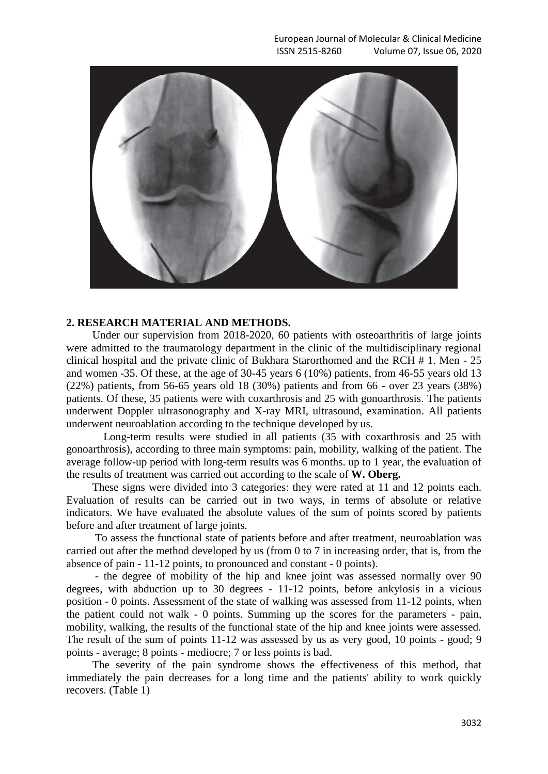

#### **2. RESEARCH MATERIAL AND METHODS.**

Under our supervision from 2018-2020, 60 patients with osteoarthritis of large joints were admitted to the traumatology department in the clinic of the multidisciplinary regional clinical hospital and the private clinic of Bukhara Starorthomed and the RCH # 1. Men - 25 and women -35. Of these, at the age of 30-45 years 6 (10%) patients, from 46-55 years old 13 (22%) patients, from 56-65 years old 18 (30%) patients and from 66 - over 23 years (38%) patients. Of these, 35 patients were with coxarthrosis and 25 with gonoarthrosis. The patients underwent Doppler ultrasonography and X-ray MRI, ultrasound, examination. All patients underwent neuroablation according to the technique developed by us.

 Long-term results were studied in all patients (35 with coxarthrosis and 25 with gonoarthrosis), according to three main symptoms: pain, mobility, walking of the patient. The average follow-up period with long-term results was 6 months. up to 1 year, the evaluation of the results of treatment was carried out according to the scale of **W. Oberg.**

These signs were divided into 3 categories: they were rated at 11 and 12 points each. Evaluation of results can be carried out in two ways, in terms of absolute or relative indicators. We have evaluated the absolute values of the sum of points scored by patients before and after treatment of large joints.

To assess the functional state of patients before and after treatment, neuroablation was carried out after the method developed by us (from 0 to 7 in increasing order, that is, from the absence of pain - 11-12 points, to pronounced and constant - 0 points).

- the degree of mobility of the hip and knee joint was assessed normally over 90 degrees, with abduction up to 30 degrees - 11-12 points, before ankylosis in a vicious position - 0 points. Assessment of the state of walking was assessed from 11-12 points, when the patient could not walk - 0 points. Summing up the scores for the parameters - pain, mobility, walking, the results of the functional state of the hip and knee joints were assessed. The result of the sum of points 11-12 was assessed by us as very good, 10 points - good; 9 points - average; 8 points - mediocre; 7 or less points is bad.

The severity of the pain syndrome shows the effectiveness of this method, that immediately the pain decreases for a long time and the patients' ability to work quickly recovers. (Table 1)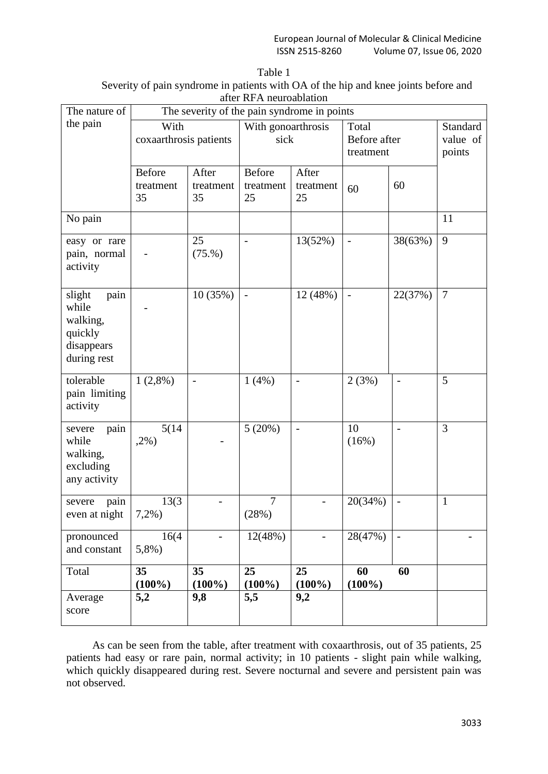| Table 1                                                                             |
|-------------------------------------------------------------------------------------|
| Severity of pain syndrome in patients with OA of the hip and knee joints before and |
| after RFA neuroablation                                                             |

| The nature of                                                               | The severity of the pain syndrome in points |                          |                           |                            |                 |                                    |              |  |
|-----------------------------------------------------------------------------|---------------------------------------------|--------------------------|---------------------------|----------------------------|-----------------|------------------------------------|--------------|--|
| the pain                                                                    | With                                        | coxaarthrosis patients   |                           | With gonoarthrosis<br>sick |                 | Total<br>Before after<br>treatment |              |  |
|                                                                             | <b>Before</b><br>treatment<br>35            | After<br>treatment<br>35 | Before<br>treatment<br>25 | After<br>treatment<br>25   | 60              | 60                                 |              |  |
| No pain                                                                     |                                             |                          |                           |                            |                 |                                    | 11           |  |
| easy or rare<br>pain, normal<br>activity                                    |                                             | 25<br>(75.%)             | $\overline{a}$            | 13(52%)                    | $\overline{a}$  | 38(63%)                            | 9            |  |
| slight<br>pain<br>while<br>walking,<br>quickly<br>disappears<br>during rest |                                             | 10(35%)                  |                           | 12 (48%)                   |                 | 22(37%)                            | $\tau$       |  |
| tolerable<br>pain limiting<br>activity                                      | $1(2,8\%)$                                  | $\overline{\phantom{0}}$ | 1(4%)                     | $\overline{a}$             | 2(3%)           | $\overline{a}$                     | 5            |  |
| severe<br>pain<br>while<br>walking,<br>excluding<br>any activity            | 5(14)<br>$,2\%$ )                           |                          | $5(20\%)$                 | $\frac{1}{2}$              | 10<br>(16%)     | $\overline{a}$                     | 3            |  |
| pain<br>severe<br>even at night                                             | 13(3)<br>$7,2%$ )                           |                          | 7<br>(28%)                |                            | 20(34%)         | $\qquad \qquad -$                  | $\mathbf{1}$ |  |
| pronounced<br>and constant                                                  | 16(4)<br>$5,8%$ )                           |                          | 12(48%)                   |                            | 28(47%)         | $\blacksquare$                     |              |  |
| Total                                                                       | 35<br>$(100\%)$                             | 35<br>$(100\%)$          | 25<br>$(100\%)$           | 25<br>$(100\%)$            | 60<br>$(100\%)$ | 60                                 |              |  |
| Average<br>score                                                            | 5,2                                         | 9,8                      | 5,5                       | 9,2                        |                 |                                    |              |  |

As can be seen from the table, after treatment with coxaarthrosis, out of 35 patients, 25 patients had easy or rare pain, normal activity; in 10 patients - slight pain while walking, which quickly disappeared during rest. Severe nocturnal and severe and persistent pain was not observed.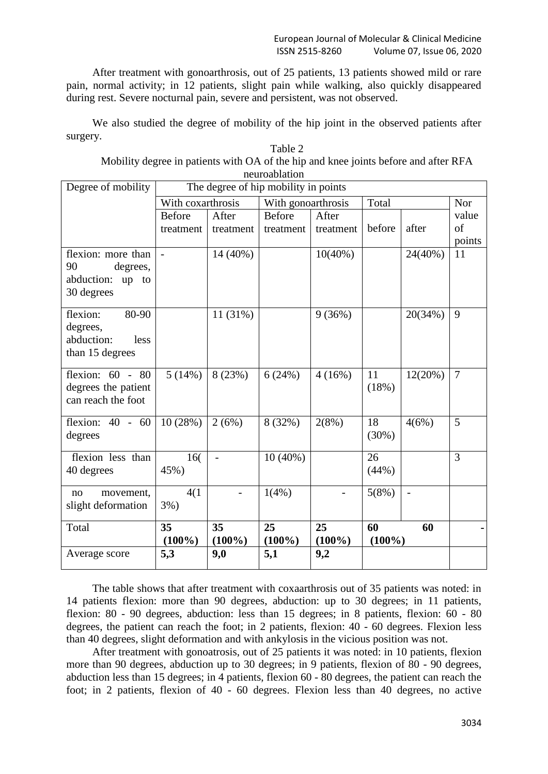After treatment with gonoarthrosis, out of 25 patients, 13 patients showed mild or rare pain, normal activity; in 12 patients, slight pain while walking, also quickly disappeared during rest. Severe nocturnal pain, severe and persistent, was not observed.

We also studied the degree of mobility of the hip joint in the observed patients after surgery.  $T<sub>11</sub>$ 

| Table 2                                                                             |
|-------------------------------------------------------------------------------------|
| Mobility degree in patients with OA of the hip and knee joints before and after RFA |
| neuroablation                                                                       |
|                                                                                     |

| Degree of mobility  | The degree of hip mobility in points |           |                    |                        |        |         |                |
|---------------------|--------------------------------------|-----------|--------------------|------------------------|--------|---------|----------------|
|                     | With coxarthrosis                    |           | With gonoarthrosis |                        | Total  |         | Nor            |
|                     | <b>Before</b>                        | After     | <b>Before</b>      | After                  |        |         | value          |
|                     | treatment                            | treatment | treatment          | treatment              | before | after   | of             |
|                     |                                      |           |                    |                        |        |         | points         |
| flexion: more than  |                                      | 14 (40%)  |                    | $10(40\%)$             |        | 24(40%) | 11             |
| 90<br>degrees,      |                                      |           |                    |                        |        |         |                |
| abduction:<br>up to |                                      |           |                    |                        |        |         |                |
| 30 degrees          |                                      |           |                    |                        |        |         |                |
| flexion:<br>80-90   |                                      | 11 (31%)  |                    | 9(36%)                 |        | 20(34%) | 9              |
| degrees,            |                                      |           |                    |                        |        |         |                |
| abduction:<br>less  |                                      |           |                    |                        |        |         |                |
| than 15 degrees     |                                      |           |                    |                        |        |         |                |
|                     |                                      |           |                    |                        |        |         |                |
| flexion: $60 - 80$  | 5(14%)                               | 8(23%)    | 6(24%)             | 4(16%)                 | 11     | 12(20%) | $\overline{7}$ |
| degrees the patient |                                      |           |                    |                        | (18%)  |         |                |
| can reach the foot  |                                      |           |                    |                        |        |         |                |
| flexion: $40 - 60$  |                                      |           |                    |                        | 18     |         | 5              |
|                     | 10(28%)                              | 2(6%)     | 8 (32%)            | 2(8%)                  | (30%)  | 4(6%)   |                |
| degrees             |                                      |           |                    |                        |        |         |                |
| flexion less than   | 16(                                  |           | $10(40\%)$         |                        | 26     |         | $\overline{3}$ |
| 40 degrees          | 45%)                                 |           |                    |                        | (44%)  |         |                |
|                     |                                      |           |                    |                        |        |         |                |
| movement,<br>no     | 4(1)                                 |           | 1(4%)              |                        | 5(8%)  |         |                |
| slight deformation  | $3%$ )                               |           |                    |                        |        |         |                |
| Total               | 35                                   | 35        | 25                 | 25                     | 60     | 60      |                |
|                     | $(100\%)$                            | $(100\%)$ | $(100\%)$          | $(100\%)$<br>$(100\%)$ |        |         |                |
| Average score       | 5,3                                  | 9,0       | 5,1                | 9,2                    |        |         |                |

The table shows that after treatment with coxaarthrosis out of 35 patients was noted: in 14 patients flexion: more than 90 degrees, abduction: up to 30 degrees; in 11 patients, flexion: 80 - 90 degrees, abduction: less than 15 degrees; in 8 patients, flexion: 60 - 80 degrees, the patient can reach the foot; in 2 patients, flexion: 40 - 60 degrees. Flexion less than 40 degrees, slight deformation and with ankylosis in the vicious position was not.

After treatment with gonoatrosis, out of 25 patients it was noted: in 10 patients, flexion more than 90 degrees, abduction up to 30 degrees; in 9 patients, flexion of 80 - 90 degrees, abduction less than 15 degrees; in 4 patients, flexion 60 - 80 degrees, the patient can reach the foot; in 2 patients, flexion of 40 - 60 degrees. Flexion less than 40 degrees, no active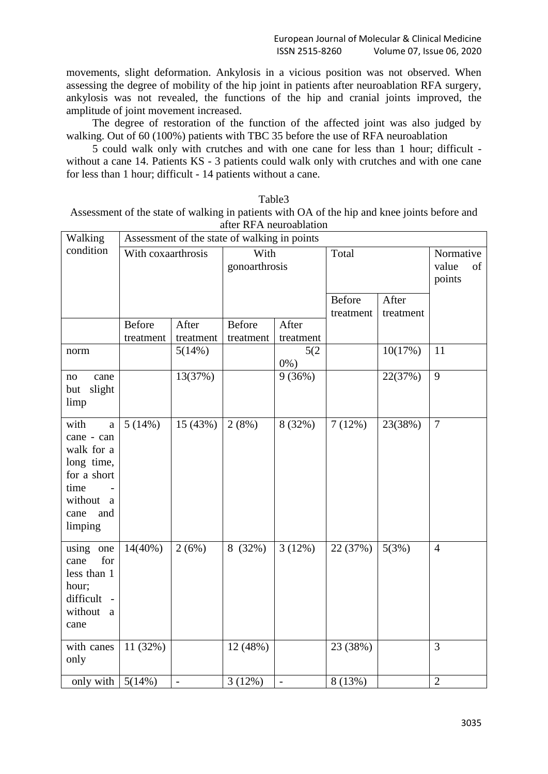movements, slight deformation. Ankylosis in a vicious position was not observed. When assessing the degree of mobility of the hip joint in patients after neuroablation RFA surgery, ankylosis was not revealed, the functions of the hip and cranial joints improved, the amplitude of joint movement increased.

The degree of restoration of the function of the affected joint was also judged by walking. Out of 60 (100%) patients with TBC 35 before the use of RFA neuroablation

5 could walk only with crutches and with one cane for less than 1 hour; difficult without a cane 14. Patients KS - 3 patients could walk only with crutches and with one cane for less than 1 hour; difficult - 14 patients without a cane.

| Table3                                                                                       |
|----------------------------------------------------------------------------------------------|
| Assessment of the state of walking in patients with OA of the hip and knee joints before and |
| after RFA neuroablation                                                                      |

| Walking                                                                                                                      | Assessment of the state of walking in points |                    |                            |                    |                                           |                                    |                |
|------------------------------------------------------------------------------------------------------------------------------|----------------------------------------------|--------------------|----------------------------|--------------------|-------------------------------------------|------------------------------------|----------------|
| condition                                                                                                                    | With coxaarthrosis                           |                    | With<br>gonoarthrosis      |                    | Total                                     | Normative<br>value<br>of<br>points |                |
|                                                                                                                              |                                              |                    |                            |                    | Before<br>After<br>treatment<br>treatment |                                    |                |
|                                                                                                                              | <b>Before</b><br>treatment                   | After<br>treatment | <b>Before</b><br>treatment | After<br>treatment |                                           |                                    |                |
| norm                                                                                                                         |                                              | 5(14%)             |                            | 5(2)<br>$0\%$ )    |                                           | 10(17%)                            | 11             |
| cane<br>no<br>slight<br>but<br>limp                                                                                          |                                              | 13(37%)            |                            | 9(36%)             |                                           | 22(37%)                            | 9              |
| with<br>$\mathbf{a}$<br>cane - can<br>walk for a<br>long time,<br>for a short<br>time<br>without a<br>cane<br>and<br>limping | 5(14%)                                       | 15(43%)            | 2(8%)                      | 8 (32%)            | 7(12%)                                    | 23(38%)                            | $\overline{7}$ |
| using one<br>for<br>cane<br>less than 1<br>hour;<br>difficult -<br>without<br>a<br>cane                                      | $14(40\%)$                                   | 2(6%)              | 8 (32%)                    | 3(12%)             | 22 (37%)                                  | 5(3%)                              | $\overline{4}$ |
| with canes<br>only                                                                                                           | 11 (32%)                                     |                    | 12 (48%)                   |                    | 23 (38%)                                  |                                    | $\overline{3}$ |
| only with                                                                                                                    | 5(14%)                                       | $\overline{a}$     | $3(12\%)$                  | $\overline{a}$     | $8(13\%)$                                 |                                    | $\overline{2}$ |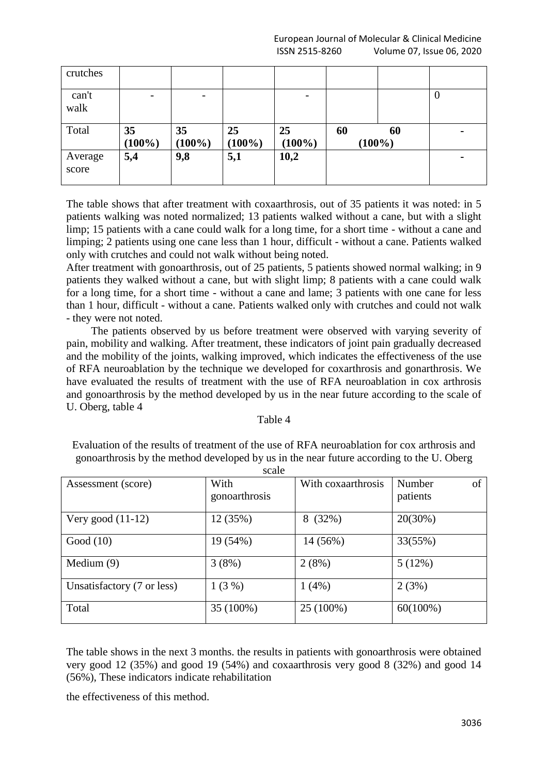| crutches         |                 |                 |                 |                 |    |                 |                  |
|------------------|-----------------|-----------------|-----------------|-----------------|----|-----------------|------------------|
| can't<br>walk    |                 |                 |                 |                 |    |                 | $\boldsymbol{0}$ |
| Total            | 35<br>$(100\%)$ | 35<br>$(100\%)$ | 25<br>$(100\%)$ | 25<br>$(100\%)$ | 60 | 60<br>$(100\%)$ | ۰                |
| Average<br>score | 5,4             | 9,8             | 5,1             | 10,2            |    |                 | $\blacksquare$   |

The table shows that after treatment with coxaarthrosis, out of 35 patients it was noted: in 5 patients walking was noted normalized; 13 patients walked without a cane, but with a slight limp; 15 patients with a cane could walk for a long time, for a short time - without a cane and limping; 2 patients using one cane less than 1 hour, difficult - without a cane. Patients walked only with crutches and could not walk without being noted.

After treatment with gonoarthrosis, out of 25 patients, 5 patients showed normal walking; in 9 patients they walked without a cane, but with slight limp; 8 patients with a cane could walk for a long time, for a short time - without a cane and lame; 3 patients with one cane for less than 1 hour, difficult - without a cane. Patients walked only with crutches and could not walk - they were not noted.

 The patients observed by us before treatment were observed with varying severity of pain, mobility and walking. After treatment, these indicators of joint pain gradually decreased and the mobility of the joints, walking improved, which indicates the effectiveness of the use of RFA neuroablation by the technique we developed for coxarthrosis and gonarthrosis. We have evaluated the results of treatment with the use of RFA neuroablation in cox arthrosis and gonoarthrosis by the method developed by us in the near future according to the scale of U. Oberg, table 4

# Table 4

Evaluation of the results of treatment of the use of RFA neuroablation for cox arthrosis and gonoarthrosis by the method developed by us in the near future according to the U. Oberg scale

|                            | ovuv          |                    |              |
|----------------------------|---------------|--------------------|--------------|
| Assessment (score)         | With          | With coxaarthrosis | of<br>Number |
|                            | gonoarthrosis |                    | patients     |
| Very good $(11-12)$        | 12 (35%)      | (32%)<br>8         | 20(30%)      |
| Good $(10)$                | 19 (54%)      | 14 (56%)           | 33(55%)      |
| Medium $(9)$               | 3(8%)         | 2(8%)              | 5(12%)       |
| Unsatisfactory (7 or less) | 1(3%)         | $1(4\%)$           | 2(3%)        |
| Total                      | 35 (100%)     | 25 (100%)          | $60(100\%)$  |

The table shows in the next 3 months. the results in patients with gonoarthrosis were obtained very good 12 (35%) and good 19 (54%) and coxaarthrosis very good 8 (32%) and good 14 (56%), These indicators indicate rehabilitation

the effectiveness of this method.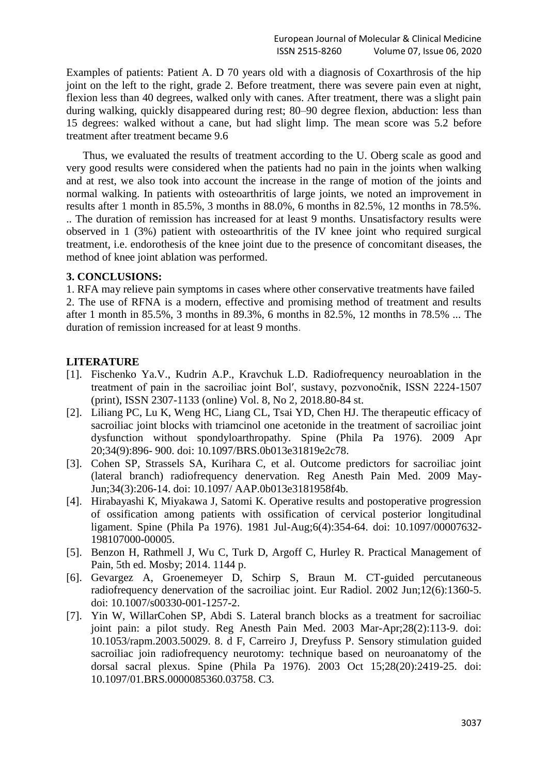Examples of patients: Patient A. D 70 years old with a diagnosis of Coxarthrosis of the hip joint on the left to the right, grade 2. Before treatment, there was severe pain even at night, flexion less than 40 degrees, walked only with canes. After treatment, there was a slight pain during walking, quickly disappeared during rest; 80–90 degree flexion, abduction: less than 15 degrees: walked without a cane, but had slight limp. The mean score was 5.2 before treatment after treatment became 9.6

 Thus, we evaluated the results of treatment according to the U. Oberg scale as good and very good results were considered when the patients had no pain in the joints when walking and at rest, we also took into account the increase in the range of motion of the joints and normal walking. In patients with osteoarthritis of large joints, we noted an improvement in results after 1 month in 85.5%, 3 months in 88.0%, 6 months in 82.5%, 12 months in 78.5%. .. The duration of remission has increased for at least 9 months. Unsatisfactory results were observed in 1 (3%) patient with osteoarthritis of the IV knee joint who required surgical treatment, i.e. endorothesis of the knee joint due to the presence of concomitant diseases, the method of knee joint ablation was performed.

# **3. CONCLUSIONS:**

1. RFA may relieve pain symptoms in cases where other conservative treatments have failed

2. The use of RFNA is a modern, effective and promising method of treatment and results after 1 month in 85.5%, 3 months in 89.3%, 6 months in 82.5%, 12 months in 78.5% ... The duration of remission increased for at least 9 months.

# **LITERATURE**

- [1]. Fischenko Ya.V., Kudrin A.P., Kravchuk L.D. Radiofrequency neuroablation in the treatment of pain in the sacroiliac joint Bolʹ, sustavy, pozvonočnik, ISSN 2224-1507 (print), ISSN 2307-1133 (online) Vol. 8, No 2, 2018.80-84 st.
- [2]. Liliang PC, Lu K, Weng HC, Liang CL, Tsai YD, Chen HJ. The therapeutic efficacy of sacroiliac joint blocks with triamcinol one acetonide in the treatment of sacroiliac joint dysfunction without spondyloarthropathy. Spine (Phila Pa 1976). 2009 Apr 20;34(9):896- 900. doi: 10.1097/BRS.0b013e31819e2c78.
- [3]. Cohen SP, Strassels SA, Kurihara C, et al. Outcome predictors for sacroiliac joint (lateral branch) radiofrequency denervation. Reg Anesth Pain Med. 2009 May-Jun;34(3):206-14. doi: 10.1097/ AAP.0b013e3181958f4b.
- [4]. Hirabayashi К, Miyakawa J, Satomi K. Operative results and postoperative progression of ossification among patients with ossification of cervical posterior longitudinal ligament. Spine (Phila Pa 1976). 1981 Jul-Aug;6(4):354-64. doi: 10.1097/00007632- 198107000-00005.
- [5]. Benzon H, Rathmell J, Wu C, Turk D, Argoff C, Hurley R. Practical Management of Pain, 5th ed. Mosby; 2014. 1144 p.
- [6]. Gevargez A, Groenemeyer D, Schirp S, Braun M. CT-guided percutaneous radiofrequency denervation of the sacroiliac joint. Eur Radiol. 2002 Jun;12(6):1360-5. doi: 10.1007/s00330-001-1257-2.
- [7]. Yin W, WillarCohen SP, Abdi S. Lateral branch blocks as a treatment for sacroiliac joint pain: a pilot study. Reg Anesth Pain Med. 2003 Mar-Apr;28(2):113-9. doi: 10.1053/rapm.2003.50029. 8. d F, Carreiro J, Dreyfuss P. Sensory stimulation guided sacroiliac join radiofrequency neurotomy: technique based on neuroanatomy of the dorsal sacral plexus. Spine (Phila Pa 1976). 2003 Oct 15;28(20):2419-25. doi: 10.1097/01.BRS.0000085360.03758. C3.